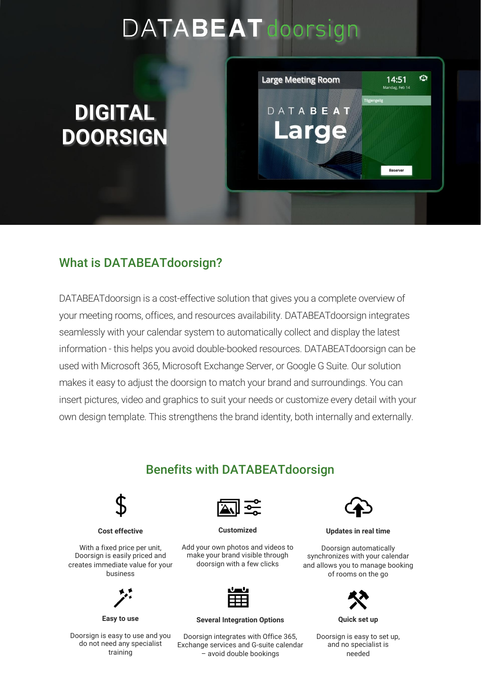# DATABEAT doorsign

## **DIGITAL DOORSIGN**



#### What is DATABEATdoorsign?

DATABEATdoorsign is a cost-effective solution that gives you a complete overview of your meeting rooms, offices, and resources availability. DATABEATdoorsign integrates seamlessly with your calendar system to automatically collect and display the latest information - this helps you avoid double-booked resources. DATABEATdoorsign can be used with Microsoft 365, Microsoft Exchange Server, or Google G Suite. Our solution makes it easy to adjust the doorsign to match your brand and surroundings. You can insert pictures, video and graphics to suit your needs or customize every detail with your own design template. This strengthens the brand identity, both internally and externally.

#### Benefits with DATABEATdoorsign



**Cost effective**

With a fixed price per unit, Doorsign is easily priced and creates immediate value for your business



**Easy to use**

Doorsign is easy to use and you do not need any specialist training



**Customized**

Add your own photos and videos to make your brand visible through doorsign with a few clicks



**Several Integration Options**

Doorsign integrates with Office 365, Exchange services and G-suite calendar – avoid double bookings



**Updates in real time**

Doorsign automatically synchronizes with your calendar and allows you to manage booking of rooms on the go



Doorsign is easy to set up, and no specialist is needed